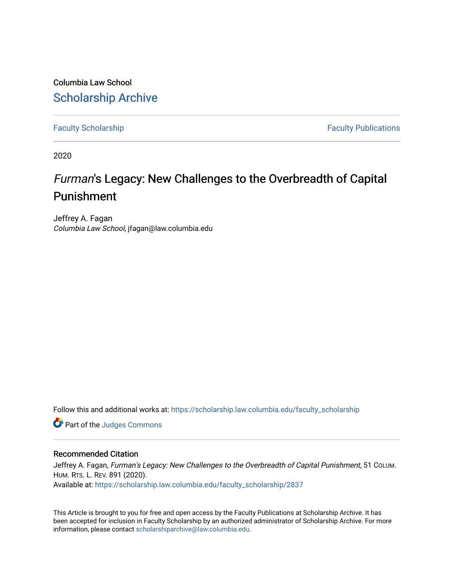Columbia Law School [Scholarship Archive](https://scholarship.law.columbia.edu/) 

[Faculty Scholarship](https://scholarship.law.columbia.edu/faculty_scholarship) **Faculty Scholarship Faculty Publications** 

2020

# Furman's Legacy: New Challenges to the Overbreadth of Capital Punishment

Jeffrey A. Fagan Columbia Law School, jfagan@law.columbia.edu

Follow this and additional works at: [https://scholarship.law.columbia.edu/faculty\\_scholarship](https://scholarship.law.columbia.edu/faculty_scholarship?utm_source=scholarship.law.columbia.edu%2Ffaculty_scholarship%2F2837&utm_medium=PDF&utm_campaign=PDFCoverPages)

**Part of the Judges Commons** 

### Recommended Citation

Jeffrey A. Fagan, Furman's Legacy: New Challenges to the Overbreadth of Capital Punishment, 51 COLUM. HUM. RTS. L. REV. 891 (2020). Available at: [https://scholarship.law.columbia.edu/faculty\\_scholarship/2837](https://scholarship.law.columbia.edu/faculty_scholarship/2837?utm_source=scholarship.law.columbia.edu%2Ffaculty_scholarship%2F2837&utm_medium=PDF&utm_campaign=PDFCoverPages)

This Article is brought to you for free and open access by the Faculty Publications at Scholarship Archive. It has been accepted for inclusion in Faculty Scholarship by an authorized administrator of Scholarship Archive. For more information, please contact [scholarshiparchive@law.columbia.edu.](mailto:scholarshiparchive@law.columbia.edu)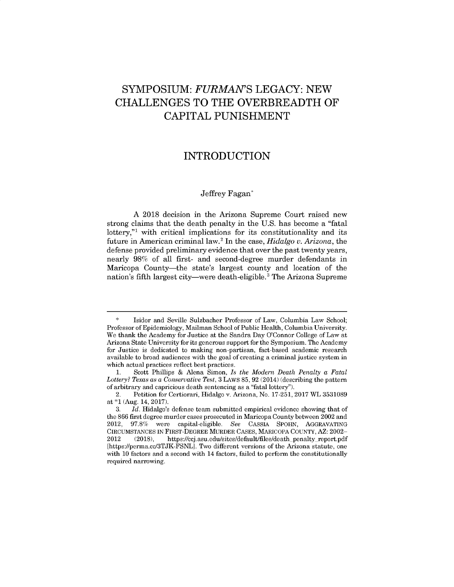## SYMPOSIUM: *FURMAN'S* **LEGACY: NEW CHALLENGES** TO THE OVERBREADTH OF CAPITAL **PUNISHMENT**

### INTRODUCTION

#### Jeffrey Fagan\*

A 2018 decision in the Arizona Supreme Court raised new strong claims that the death penalty in the U.S. has become a "fatal lottery,"<sup>1</sup> with critical implications for its constitutionality and its future in American criminal law. <sup>2</sup>In the case, *Hidalgo v. Arizona,* the defense provided preliminary evidence that over the past twenty years, nearly 98% of all first- and second-degree murder defendants in Maricopa County-the state's largest county and location of the nation's fifth largest city—were death-eligible.<sup>3</sup> The Arizona Supreme

Isidor and Seville Sulzbacher Professor of Law, Columbia Law School; Professor of Epidemiology, Mailman School of Public Health, Columbia University. We thank the Academy for Justice at the Sandra Day O'Connor College of Law at Arizona State University for its generous support for the Symposium. The Academy for Justice is dedicated to making non-partisan, fact-based academic research available to broad audiences with the goal of creating a criminal justice system in which actual practices reflect best practices.

<sup>1.</sup> Scott Phillips & Alena Simon, *Is the Modern Death Penalty a Fatal Lottery? Texas as a Conservative Test,* 3 LAWS 85, 92 (2014) (describing the pattern of arbitrary and capricious death sentencing as a "fatal lottery").

<sup>2.</sup> Petition for Certiorari, Hidalgo v. Arizona, No. 17-251, 2017 WL 3531089 at \*1 (Aug. 14, 2017).

<sup>3.</sup> *Id.* Hidalgo's defense team submitted empirical evidence showing that of the 866 first degree murder cases prosecuted in Maricopa County between 2002 and 2012, 97.8% were capital-eligible. *See* CASSIA SPOHN, AGGRAVATING CIRCUMSTANCES IN FIRST-DEGREE MURDER CASES, MARICOPA COUNTY, AZ: 2002- 2012 (2018), https://ccj.asu.edu/sites/default/files/death penalty report.pdf [https://perma.cc/3TJK-FSNL]. Two different versions of the Arizona statute, one with 10 factors and a second with 14 factors, failed to perform the constitutionally required narrowing.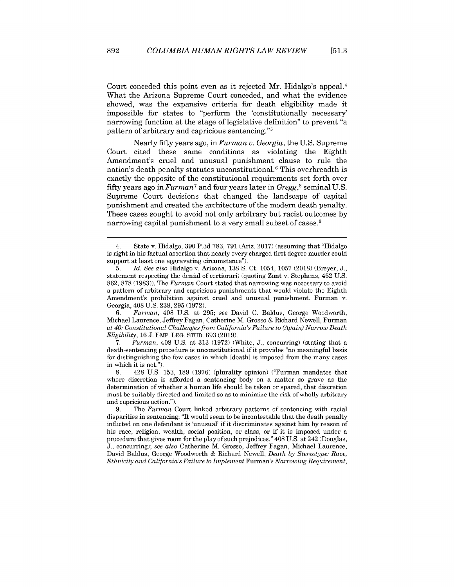Court conceded this point even as it rejected Mr. Hidalgo's appeal.<sup>4</sup> What the Arizona Supreme Court conceded, and what the evidence showed, was the expansive criteria for death eligibility made it impossible for states to "perform the 'constitutionally necessary' narrowing function at the stage of legislative definition" to prevent "a pattern of arbitrary and capricious sentencing. '5

Nearly fifty years ago, in *Furman* v. *Georgia,* the U.S. Supreme Court cited these same conditions as violating the Eighth Amendment's cruel and unusual punishment clause to rule the nation's death penalty statutes unconstitutional.<sup>6</sup> This overbreadth is exactly the opposite of the constitutional requirements set forth over fifty years ago in *Furman7* and four years later in *Gregg,<sup>8</sup>*seminal U.S. Supreme Court decisions that changed the landscape of capital punishment and created the architecture of the modem death penalty. These cases sought to avoid not only arbitrary but racist outcomes by narrowing capital punishment to a very small subset of cases.<sup>9</sup>

6. *Furman,* 408 U.S. at 295; *see* David C. Baldus, George Woodworth, Michael Laurence, Jeffrey Fagan, Catherine M. Grosso & Richard Newell, Furman *at 40: Constitutional Challenges from California's Failure to (Again) Narrow Death Eligibility,* 16 J. EMP. LEG. STUD. 693 (2019).

7. *Furman,* 408 U.S. at 313 (1972) (White, J., concurring) (stating that a death -sentencing procedure is unconstitutional if it provides "no meaningful basis for distinguishing the few cases in which [death] is imposed from the many cases in which it is not.").

8. 428 U.S. 153, 189 (1976) (plurality opinion) ("Furman mandates that where discretion is afforded a sentencing body on a matter so grave as the determination of whether a human life should be taken or spared, that discretion must be suitably directed and limited so as to minimize the risk of wholly arbitrary and capricious action.").

9. The *Furman* Court linked arbitrary patterns of sentencing with racial disparities in sentencing: "It would seem to be incontestable that the death penalty inflicted on one defendant is 'unusual' if it discriminates against him by reason of his race, religion, wealth, social position, or class, or if it is imposed under a procedure that gives room for the play of such prejudices." 408 U.S. at 242 (Douglas, J., concurring); *see also* Catherine M. Grosso, Jeffrey Fagan, Michael Laurence, David Baldus, George Woodworth & Richard Newell, *Death by Stereotype: Race, Ethnicity and California's Failure to Implement* Furman's *Narrowing Requirement,*

892

<sup>4.</sup> State v. Hidalgo, 390 P.3d 783, 791 (Ariz. 2017) (assuming that "Hidalgo is right in his factual assertion that nearly every charged first degree murder could support at least one aggravating circumstance").

<sup>5.</sup> *Id. See also* Hidalgo v. Arizona, 138 S. Ct. 1054, 1057 (2018) (Breyer, J., statement respecting the denial of certiorari) (quoting Zant v. Stephens, 462 U.S. 862, 878 (1983)). The *Furman* Court stated that narrowing was necessary to avoid a pattern of arbitrary and capricious punishments that would violate the Eighth Amendment's prohibition against cruel and unusual punishment. Furman v. Georgia, 408 U.S. 238, 295 (1972).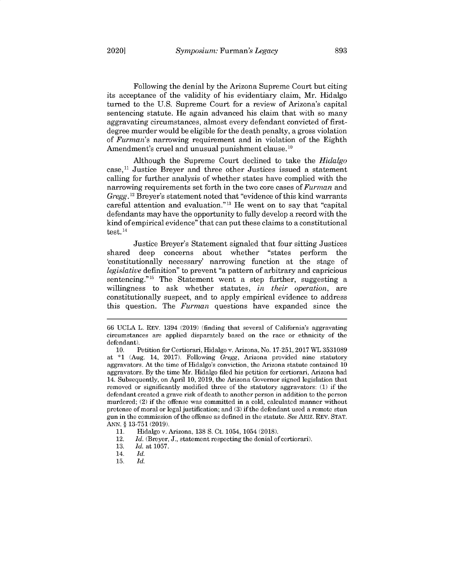Following the denial by the Arizona Supreme Court but citing its acceptance of the validity of his evidentiary claim, Mr. Hidalgo turned to the U.S. Supreme Court for a review of Arizona's capital sentencing statute. He again advanced his claim that with so many aggravating circumstances, almost every defendant convicted of firstdegree murder would be eligible for the death penalty, a gross violation of *Furman's* narrowing requirement and in violation of the Eighth Amendment's cruel and unusual punishment clause.<sup>10</sup>

Although the Supreme Court declined to take the *Hidalgo*  $case,$ <sup>11</sup> Justice Breyer and three other Justices issued a statement calling for further analysis of whether states have complied with the narrowing requirements set forth in the two core cases of *Furman* and *Gregg.* <sup>12</sup> Breyer's statement noted that "evidence of this kind warrants" careful attention and evaluation." $13$  He went on to say that "capital" defendants may have the opportunity to fully develop a record with the kind of empirical evidence" that can put these claims to a constitutional test.<sup>14</sup>

Justice Breyer's Statement signaled that four sitting Justices shared deep concerns about whether "states perform the 'constitutionally necessary' narrowing function at the stage of *legislative* definition" to prevent "a pattern of arbitrary and capricious sentencing."<sup>15</sup> The Statement went a step further, suggesting a willingness to ask whether statutes, *in their operation,* are constitutionally suspect, and to apply empirical evidence to address this question. The *Furman* questions have expanded since the

<sup>66</sup> UCLA L. REV. 1394 (2019) (finding that several of California's aggravating circumstances are applied disparately based on the race or ethnicity of the defendant).

<sup>10.</sup> Petition for Certiorari, Hidalgo v. Arizona, No. 17-251, 2017 WL 3531089 at **\*1** (Aug. 14, 2017). Following *Gregg,* Arizona provided nine statutory aggravators. At the time of Hidalgo's conviction, the Arizona statute contained 10 aggravators. By the time Mr. Hidalgo filed his petition for certiorari, Arizona had 14. Subsequently, on April 10, 2019, the Arizona Governor signed legislation that removed or significantly modified three of the statutory aggravators: (1) if the defendant created a grave risk of death to another person in addition to the person murdered; (2) if the offense was committed in a cold, calculated manner without pretense of moral or legal justification; and (3) if the defendant used a remote stun gun in the commission of the offense as defined in the statute. *See* ARIZ. REV. STAT. ANN. § 13-751 (2019).

<sup>11.</sup> Hidalgo v. Arizona, 138 **S.** Ct. 1054, 1054 (2018).

<sup>12.</sup> *Id.* (Breyer, J., statement respecting the denial of certiorari).

<sup>13.</sup> *Id.* at 1057.

<sup>14.</sup> *Id.*

<sup>15.</sup> *Id.*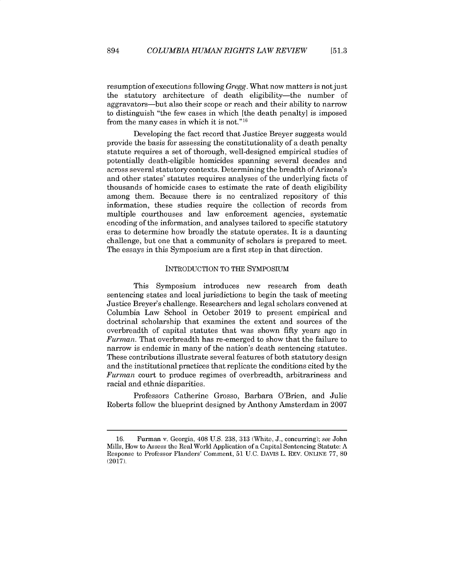resumption of executions following *Gregg.* What now matters is not just the statutory architecture of death eligibility-the number of aggravators-but also their scope or reach and their ability to narrow to distinguish "the few cases in which [the death penalty] is imposed from the many cases in which it is not." $16$ 

Developing the fact record that Justice Breyer suggests would provide the basis for assessing the constitutionality of a death penalty statute requires a set of thorough, well-designed empirical studies of potentially death-eligible homicides spanning several decades and across several statutory contexts. Determining the breadth of Arizona's and other states' statutes requires analyses of the underlying facts of thousands of homicide cases to estimate the rate of death eligibility among them. Because there is no centralized repository of this information, these studies require the collection of records from multiple courthouses and law enforcement agencies, systematic encoding of the information, and analyses tailored to specific statutory eras to determine how broadly the statute operates. It is a daunting challenge, but one that a community of scholars is prepared to meet. The essays in this Symposium are a first step in that direction.

### INTRODUCTION TO THE SYMPOSIUM

This Symposium introduces new research from death sentencing states and local jurisdictions to begin the task of meeting Justice Breyer's challenge. Researchers and legal scholars convened at Columbia Law School in October 2019 to present empirical and doctrinal scholarship that examines the extent and sources of the overbreadth of capital statutes that was shown fifty years ago in *Furman.* That overbreadth has re-emerged to show that the failure to narrow is endemic in many of the nation's death sentencing statutes. These contributions illustrate several features of both statutory design and the institutional practices that replicate the conditions cited by the *Furman* court to produce regimes of overbreadth, arbitrariness and racial and ethnic disparities.

Professors Catherine Grosso, Barbara O'Brien, and Julie Roberts follow the blueprint designed by Anthony Amsterdam in 2007

<sup>16.</sup> Furman v. Georgia, 408 U.S. 238, 313 (White, J., concurring); see John Mills, How to Assess the Real World Application of a Capital Sentencing Statute: A Response to Professor Flanders' Comment, 51 U.C. DAVIS L. REV. ONLINE **77,** 80 (2017).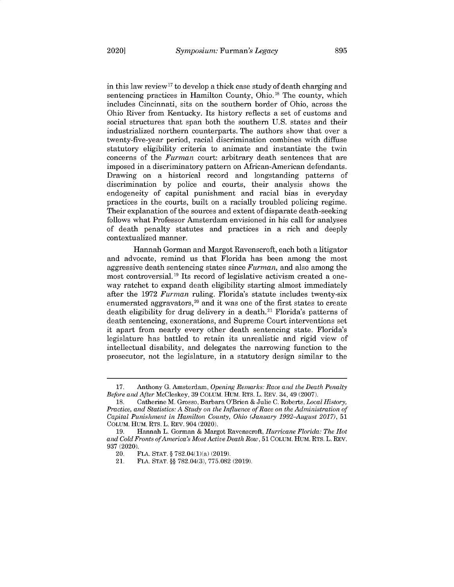in this law review<sup>17</sup> to develop a thick case study of death charging and sentencing practices in Hamilton County, Ohio. **18** The county, which includes Cincinnati, sits on the southern border of Ohio, across the Ohio River from Kentucky. Its history reflects a set of customs and social structures that span both the southern U.S. states and their industrialized northern counterparts. The authors show that over a twenty-five-year period, racial discrimination combines with diffuse statutory eligibility criteria to animate and instantiate the twin concerns of the *Furman* court: arbitrary death sentences that are imposed in a discriminatory pattern on African-American defendants. Drawing on a historical record and longstanding patterns of discrimination by police and courts, their analysis shows the endogeneity of capital punishment and racial bias in everyday practices in the courts, built on a racially troubled policing regime. Their explanation of the sources and extent of disparate death-seeking follows what Professor Amsterdam envisioned in his call for analyses of death penalty statutes and practices in a rich and deeply contextualized manner.

Hannah Gorman and Margot Ravenscroft, each both a litigator and advocate, remind us that Florida has been among the most aggressive death sentencing states since *Furman,* and also among the most controversial. **19** Its record of legislative activism created a oneway ratchet to expand death eligibility starting almost immediately after the 1972 *Furman* ruling. Florida's statute includes twenty-six enumerated aggravators, <sup>2</sup>0 and it was one of the first states to create death eligibility for drug delivery in a death.<sup>21</sup> Florida's patterns of death sentencing, exonerations, and Supreme Court interventions set it apart from nearly every other death sentencing state. Florida's legislature has battled to retain its unrealistic and rigid view of intellectual disability, and delegates the narrowing function to the prosecutor, not the legislature, in a statutory design similar to the

<sup>17.</sup> Anthony G. Amsterdam, *Opening Remarks: Race and the Death Penalty Before and After* McCleskey, 39 COLUM. HUM. RTS. L. REV. 34, 49 (2007).

<sup>18.</sup> Catherine M. Grosso, Barbara O'Brien & Julie C. Roberts, *Local History, Practice, and Statistics: A Study on the Influence of Race on the Administration of Capital Punishment in Hamilton County, Ohio (January 1992-August* 2017), <sup>51</sup> COLUM. HUM. RTS. L. REV. 904 (2020).

<sup>19.</sup> Hannah L. Gorman & Margot Ravenscroft, *Hurricane Florida: The Hot and Cold Fronts of America's Most Active Death Row,* 51 COLUM. HUM. RTS. L. REV. 937 (2020).

<sup>20.</sup> FLA. STAT. § 782.04(1)(a) (2019).

<sup>21.</sup> FLA. STAT. §§ 782.04(3), 775.082 (2019).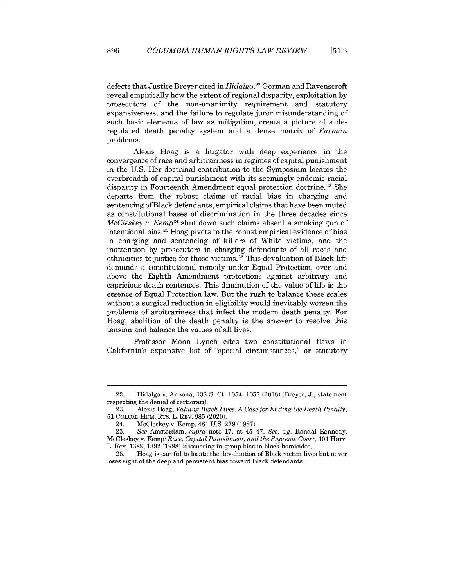defects that Justice Breyer cited in *Hidalgo.<sup>22</sup>*Gorman and Ravenscroft reveal empirically how the extent of regional disparity, exploitation by prosecutors of the non-unanimity requirement and statutory expansiveness, and the failure to regulate juror misunderstanding of such basic elements of law as mitigation, create a picture of a deregulated death penalty system and a dense matrix of *Furman* problems.

Alexis Hoag is a litigator with deep experience in the convergence of race and arbitrariness in regimes of capital punishment in the U.S. Her doctrinal contribution to the Symposium locates the overbreadth of capital punishment with its seemingly endemic racial disparity in Fourteenth Amendment equal protection doctrine.<sup>23</sup> She departs from the robust claims of racial bias in charging and sentencing of Black defendants, empirical claims that have been muted as constitutional bases of discrimination in the three decades since *McCleskey v. Kemp*<sup>24</sup> shut down such claims absent a smoking gun of intentional bias.<sup>25</sup> Hoag pivots to the robust empirical evidence of bias in charging and sentencing of killers of White victims, and the inattention by prosecutors in charging defendants of all races and ethnicities to justice for those victims.<sup>26</sup> This devaluation of Black life demands a constitutional remedy under Equal Protection, over and above the Eighth Amendment protections against arbitrary and capricious death sentences. This diminution of the value of life is the essence of Equal Protection law. But the rush to balance these scales without a surgical reduction in eligibility would inevitably worsen the problems of arbitrariness that infect the modem death penalty. For Hoag, abolition of the death penalty is the answer to resolve this tension and balance the values of all lives.

Professor Mona Lynch cites two constitutional flaws in California's expansive list of "special circumstances," or statutory

<sup>22.</sup> Hidalgo v. Arizona, 138 S. Ct. 1054, 1057 (2018) (Breyer, J., statement respecting the denial of certiorari).

<sup>23.</sup> Alexis Hoag, *Valuing Black Lives: A Case for Ending the Death Penalty,* 51 COLUM. HUM. RTS. L. REV. 985 (2020).

<sup>24.</sup> McCleskey v. Kemp, 481 U.S. 279 (1987).

<sup>25.</sup> *See* Amsterdam, *supra* note 17, at 45-47. *See, e.g.* Randal Kennedy, McCleskey v. Kemp: *Race, Capital Punishment, and the Supreme Court,* 101 Harv. L. Rev. 1388, 1392 (1988) (discussing in-group bias in black homicides).

<sup>26.</sup> Hoag is careful to locate the devaluation of Black victim lives but never loses sight of the deep and persistent bias toward Black defendants.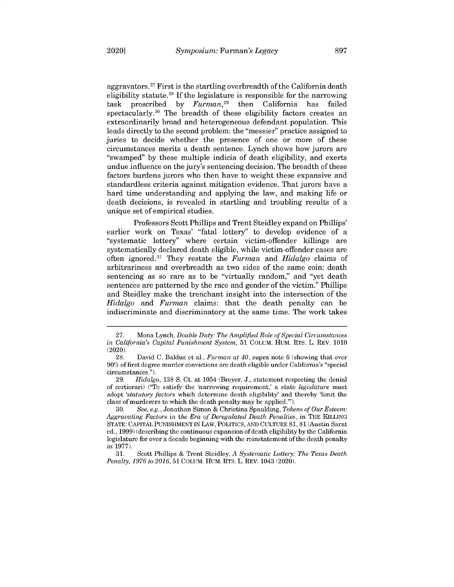aggravators.<sup>27</sup> First is the startling overbreadth of the California death eligibility statute.<sup>28</sup> If the legislature is responsible for the narrowing task proscribed by *Furman,<sup>29</sup>*then California has failed spectacularly.<sup>30</sup> The breadth of these eligibility factors creates an extraordinarily broad and heterogeneous defendant population. This leads directly to the second problem: the "messier' practice assigned to juries to decide whether the presence of one or more of these circumstances merits a death sentence. Lynch shows how jurors are "swamped" by these multiple indicia of death eligibility, and exerts undue influence on the jury's sentencing decision. The breadth of these factors burdens jurors who then have to weight these expansive and standardless criteria against mitigation evidence. That jurors have a hard time understanding and applying the law, and making life or death decisions, is revealed in startling and troubling results of a unique set of empirical studies.

Professors Scott Phillips and Trent Steidley expand on Phillips' earlier work on Texas' "fatal lottery" to develop evidence of a "systematic lottery" where certain victim-offender killings are systematically declared death eligible, while victim-offender cases are often ignored. <sup>31</sup>They restate the *Furman* and *Hidalgo* claims of arbitrariness and overbreadth as two sides of the same coin: death sentencing as so rare as to be "virtually random," and "yet death sentences are patterned by the race and gender of the victim." Phillips and Steidley make the trenchant insight into the intersection of the *Hidalgo* and *Furman* claims: that the death penalty can be indiscriminate and discriminatory at the same time. The work takes

<sup>27.</sup> Mona Lynch, *Double Duty: The Amplified Role of Special Circumstances in California's Capital Punishment System,* 51 COLUM. HUM. RTS. L. REV. 1010 (2020).

<sup>28.</sup> David C. Baldus et al., *Furman at 40,* supra note 6 (showing that over **90%** of first degree murder convictions are death eligible under California's "special circumstances.").

<sup>29.</sup> *Hidalgo,* 138 S. Ct. at 1054 (Breyer, J., statement respecting the denial of certiorari) ("To satisfy the 'narrowing requirement,' a state *legislature* must adopt *'statutory factors* which determine death eligibility' and thereby 'limit the class of murderers to which the death penalty may be applied."').

<sup>30.</sup> *See, e.g.,* Jonathan Simon & Christina Spaulding, *Tokens of Our Esteem: Aggravating Factors in the Era of Deregulated Death Penalties,* in THE KILLING STATE: CAPITAL PUNISHMENT IN LAW, POLITICS, AND CULTURE 81, 81 (Austin Sarat ed., 1999) (describing the continuous expansion of death eligibility by the California legislature for over a decade beginning with the reinstatement of the death penalty in 1977).

<sup>31.</sup> Scott Phillips & Trent Steidley, *A Systematic Lottery: The Texas Death Penalty, 1976 to 2016,* 51 COLUM. HUM. RTS. L. REV. 1043 (2020).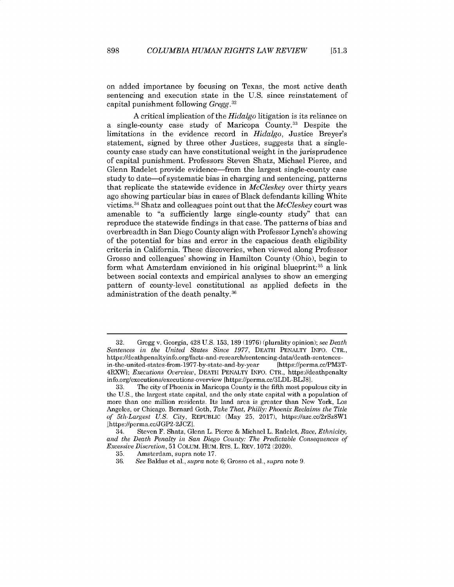**[51.3**

on added importance by focusing on Texas, the most active death sentencing and execution state in the U.S. since reinstatement of capital punishment following Gregg. <sup>3</sup>*<sup>2</sup>*

A critical implication of the *Hidalgo* litigation is its reliance on a single-county case study of Maricopa County.<sup>33</sup> Despite the limitations in the evidence record in *Hidalgo,* Justice Breyer's statement, signed by three other Justices, suggests that a singlecounty case study can have constitutional weight in the jurisprudence of capital punishment. Professors Steven Shatz, Michael Pierce, and Glenn Radelet provide evidence—from the largest single-county case study to date-of systematic bias in charging and sentencing, patterns that replicate the statewide evidence in *McCleskey* over thirty years ago showing particular bias in cases of Black defendants killing White victims. <sup>34</sup>Shatz and colleagues point out that the *McCleskey* court was amenable to "a sufficiently large single-county study" that can reproduce the statewide findings in that case. The patterns of bias and overbreadth in San Diego County align with Professor Lynch's showing of the potential for bias and error in the capacious death eligibility criteria in California. These discoveries, when viewed along Professor Grosso and colleagues' showing in Hamilton County (Ohio), begin to form what Amsterdam envisioned in his original blueprint:  $35$  a link between social contexts and empirical analyses to show an emerging pattern of county-level constitutional as applied defects in the administration of the death penalty. 36

<sup>32.</sup> Gregg v. Georgia, 428 U.S. 153, 189 (1976) (plurality opinion); *see Death Sentences in the United States Since* 1977, DEATH PENALTY INFO. CTR., https://deathpenaltyinfo.org/facts -and-research/sentencing-data/death-sentencesin -the -united-states -from- 1977 -by-state-and -by-year [https://perma.cc/PM3T-4RXW]; *Executions Overview,* DEATH PENALTY INFO. CTR., https://deathpenalty info.org/executions/executions -overview [https://perma.cc/3LDL-BLJ8].

<sup>33.</sup> The city of Phoenix in Maricopa County is the fifth most populous city in the U.S., the largest state capital, and the only state capital with a population of more than one million residents. Its land area is greater than New York, Los Angeles, or Chicago. Bernard Goth, *Take That, Philly: Phoenix Reclaims the Title of 5th-Largest U.S. City,* REPUBLIC (May 25, 2017), https://azc.cc/2rSz8Wl [https://perma.cc/JGP2-2JCZ].

<sup>34.</sup> Steven F. Shatz, Glenn L. Pierce & Michael L. Radelet, *Race, Ethnicity, and the Death Penalty in San Diego County: The Predictable Consequences of Excessive Discretion,* 51 COLuM. HUM. RTS. L. REV. 1072 (2020).

<sup>35.</sup> Amsterdam, supra note 17.

<sup>36.</sup> *See* Baldus et al., *supra* note 6; Grosso et al., *supra* note 9.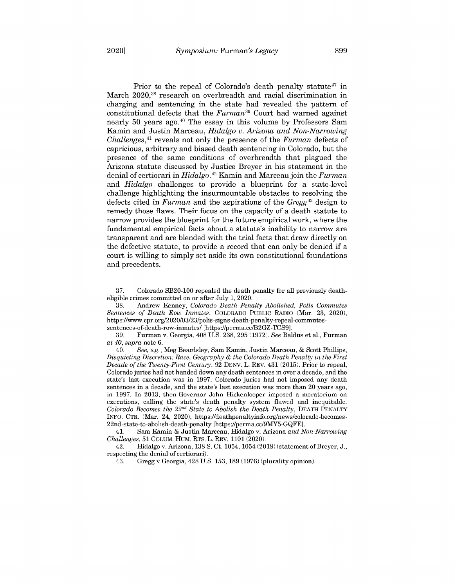Prior to the repeal of Colorado's death penalty statute<sup>37</sup> in March 2020,<sup>38</sup> research on overbreadth and racial discrimination in charging and sentencing in the state had revealed the pattern of constitutional defects that the *Furman*<sup>39</sup> Court had warned against nearly 50 years ago. <sup>4</sup>0 The essay in this volume by Professors Sam Kamin and Justin Marceau, *Hidalgo* v. *Arizona and Non-Narrowing Challenges,<sup>41</sup>*reveals not only the presence of the *Furman* defects of capricious, arbitrary and biased death sentencing in Colorado, but the presence of the same conditions of overbreadth that plagued the Arizona statute discussed by Justice Breyer in his statement in the denial of certiorari in *Hidalgo.<sup>42</sup>*Kamin and Marceau join the *Furman* and *Hidalgo* challenges to provide a blueprint for a state-level challenge highlighting the insurmountable obstacles to resolving the defects cited in *Furman* and the aspirations of the *Gregg<sup>43</sup>*design to remedy those flaws. Their focus on the capacity of a death statute to narrow provides the blueprint for the future empirical work, where the fundamental empirical facts about a statute's inability to narrow are transparent and are blended with the trial facts that draw directly on the defective statute, to provide a record that can only be denied if a court is willing to simply set aside its own constitutional foundations and precedents.

<sup>37.</sup> Colorado SB20-100 repealed the death penalty for all previously deatheligible crimes committed on or after July 1, 2020.

<sup>38.</sup> Andrew Kenney, *Colorado Death Penalty Abolished, Polis Commutes Sentences of Death Row Inmates,* COLORADO PUBLIC RADIO (Mar. 23, 2020), https://www.cpr.org/2020/03/23/polis-signs-death-penalty-repeal-commutessentences-of-death-row-inmates/ [https://perma.cc/B2GZ-TCS9].

<sup>39.</sup> Furman v. Georgia, 408 U.S. 238, 295 (1972). *See* Baldus et al., Furman *at 40, supra* note 6.

<sup>40.</sup> *See, e.g.,* Meg Beardsley, Sam Kamin, Justin Marceau, & Scott Phillips, *Disquieting Discretion: Race, Geography & the Colorado Death Penalty in the First Decade of the Twenty-First Century,* 92 DENV. L. REV. 431 (2015). Prior to repeal, Colorado juries had not handed down any death sentences in over a decade, and the state's last execution was in 1997. Colorado juries had not imposed any death sentences in a decade, and the state's last execution was more than 20 years ago, in 1997. In 2013, then-Governor John Hickenlooper imposed a moratorium on executions, calling the state's death penalty system flawed and inequitable. *Colorado Becomes the 22<sup>nd</sup> State to Abolish the Death Penalty, DEATH PENALTY* INFO. CTR. (Mar. 24, 2020), https://deathpenaltyinfo.org/news/colorado-becomes-22nd-state-to-abolish-death-penalty [https://perma.cc/9MY5-GQFE].

<sup>41.</sup> Sam Kamin & Justin Marceau, Hidalgo v. Arizona *and Non-Narrowing Challenges,* 51 COLUM. HUM. RTS. L. REV. 1101 (2020).

<sup>42.</sup> Hidalgo v. Arizona, 138 S. Ct. 1054, 1054 (2018) (statement of Breyer, J., respecting the denial of certiorari).

<sup>43.</sup> Gregg v Georgia, 428 U.S. 153, 189 (1976) (plurality opinion).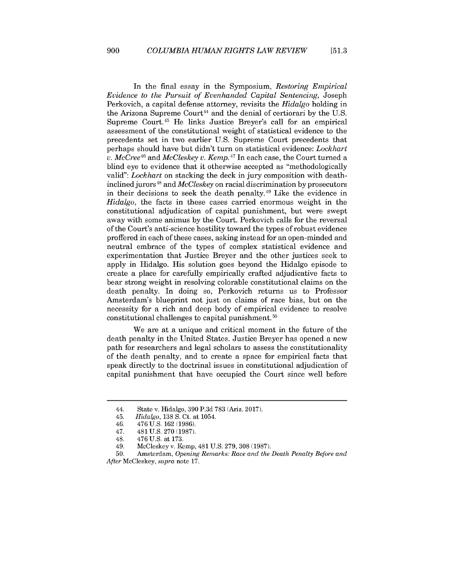In the final essay in the Symposium, *Restoring Empirical Evidence to the Pursuit of Evenhanded Capital Sentencing,* Joseph Perkovich, a capital defense attorney, revisits the *Hidalgo* holding in the Arizona Supreme Court<sup>44</sup> and the denial of certiorari by the U.S. Supreme Court.<sup>45</sup> He links Justice Breyer's call for an empirical assessment of the constitutional weight of statistical evidence to the precedents set in two earlier U.S. Supreme Court precedents that perhaps should have but didn't turn on statistical evidence: *Lockhart v. McCree<sup>46</sup>*and *McCleskey v. Kemp. <sup>4</sup> <sup>7</sup>*In each case, the Court turned a blind eye to evidence that it otherwise accepted as "methodologically valid": *Lockhart* on stacking the deck in jury composition with deathinclined jurors<sup>48</sup> and *McCleskey* on racial discrimination by prosecutors in their decisions to seek the death penalty. $49$  Like the evidence in *Hidalgo,* the facts in these cases carried enormous weight in the constitutional adjudication of capital punishment, but were swept away with some animus by the Court. Perkovich calls for the reversal of the Court's anti-science hostility toward the types of robust evidence proffered in each of these cases, asking instead for an open-minded and neutral embrace of the types of complex statistical evidence and experimentation that Justice Breyer and the other justices seek to apply in Hidalgo. His solution goes beyond the Hidalgo episode to create a place for carefully empirically crafted adjudicative facts to bear strong weight in resolving colorable constitutional claims on the death penalty. In doing so, Perkovich returns us to Professor Amsterdam's blueprint not just on claims of race bias, but on the necessity for a rich and deep body of empirical evidence to resolve constitutional challenges to capital punishment. 50

We are at a unique and critical moment in the future of the death penalty in the United States. Justice Breyer has opened a new path for researchers and legal scholars to assess the constitutionality of the death penalty, and to create a space for empirical facts that speak directly to the doctrinal issues in constitutional adjudication of capital punishment that have occupied the Court since well before

900

<sup>44.</sup> State v. Hidalgo, 390 P.3d 783 (Ariz. 2017).

<sup>45.</sup> *Hidalgo,* 138 **S.** Ct. at 1054.

<sup>46. 476</sup> U.S. 162 (1986).

<sup>47. 481</sup> U.S. 270 (1987).

<sup>48. 476</sup> U.S. at 173.

<sup>49.</sup> McCleskey v. Kemp, 481 U.S. 279, 308 (1987).

<sup>50.</sup> Amsterdam, *Opening Remarks: Race and the Death Penalty Before and After* McCleskey, *supra* note 17.